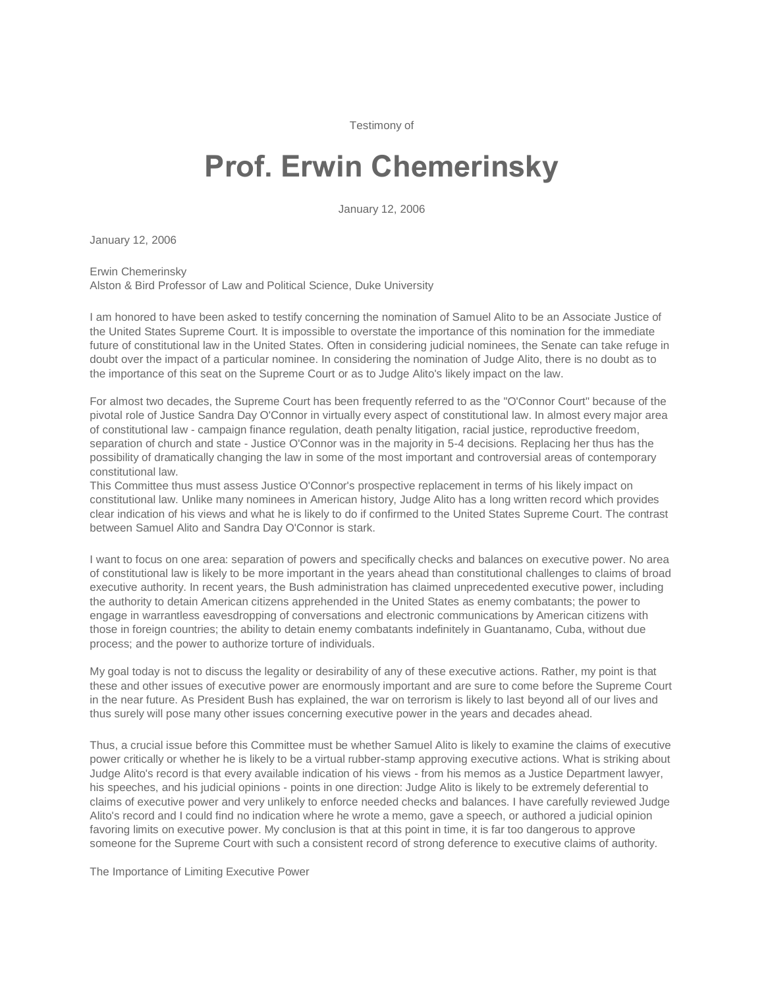Testimony of

## **Prof. Erwin Chemerinsky**

January 12, 2006

January 12, 2006

Erwin Chemerinsky Alston & Bird Professor of Law and Political Science, Duke University

I am honored to have been asked to testify concerning the nomination of Samuel Alito to be an Associate Justice of the United States Supreme Court. It is impossible to overstate the importance of this nomination for the immediate future of constitutional law in the United States. Often in considering judicial nominees, the Senate can take refuge in doubt over the impact of a particular nominee. In considering the nomination of Judge Alito, there is no doubt as to the importance of this seat on the Supreme Court or as to Judge Alito's likely impact on the law.

For almost two decades, the Supreme Court has been frequently referred to as the "O'Connor Court" because of the pivotal role of Justice Sandra Day O'Connor in virtually every aspect of constitutional law. In almost every major area of constitutional law - campaign finance regulation, death penalty litigation, racial justice, reproductive freedom, separation of church and state - Justice O'Connor was in the majority in 5-4 decisions. Replacing her thus has the possibility of dramatically changing the law in some of the most important and controversial areas of contemporary constitutional law.

This Committee thus must assess Justice O'Connor's prospective replacement in terms of his likely impact on constitutional law. Unlike many nominees in American history, Judge Alito has a long written record which provides clear indication of his views and what he is likely to do if confirmed to the United States Supreme Court. The contrast between Samuel Alito and Sandra Day O'Connor is stark.

I want to focus on one area: separation of powers and specifically checks and balances on executive power. No area of constitutional law is likely to be more important in the years ahead than constitutional challenges to claims of broad executive authority. In recent years, the Bush administration has claimed unprecedented executive power, including the authority to detain American citizens apprehended in the United States as enemy combatants; the power to engage in warrantless eavesdropping of conversations and electronic communications by American citizens with those in foreign countries; the ability to detain enemy combatants indefinitely in Guantanamo, Cuba, without due process; and the power to authorize torture of individuals.

My goal today is not to discuss the legality or desirability of any of these executive actions. Rather, my point is that these and other issues of executive power are enormously important and are sure to come before the Supreme Court in the near future. As President Bush has explained, the war on terrorism is likely to last beyond all of our lives and thus surely will pose many other issues concerning executive power in the years and decades ahead.

Thus, a crucial issue before this Committee must be whether Samuel Alito is likely to examine the claims of executive power critically or whether he is likely to be a virtual rubber-stamp approving executive actions. What is striking about Judge Alito's record is that every available indication of his views - from his memos as a Justice Department lawyer, his speeches, and his judicial opinions - points in one direction: Judge Alito is likely to be extremely deferential to claims of executive power and very unlikely to enforce needed checks and balances. I have carefully reviewed Judge Alito's record and I could find no indication where he wrote a memo, gave a speech, or authored a judicial opinion favoring limits on executive power. My conclusion is that at this point in time, it is far too dangerous to approve someone for the Supreme Court with such a consistent record of strong deference to executive claims of authority.

The Importance of Limiting Executive Power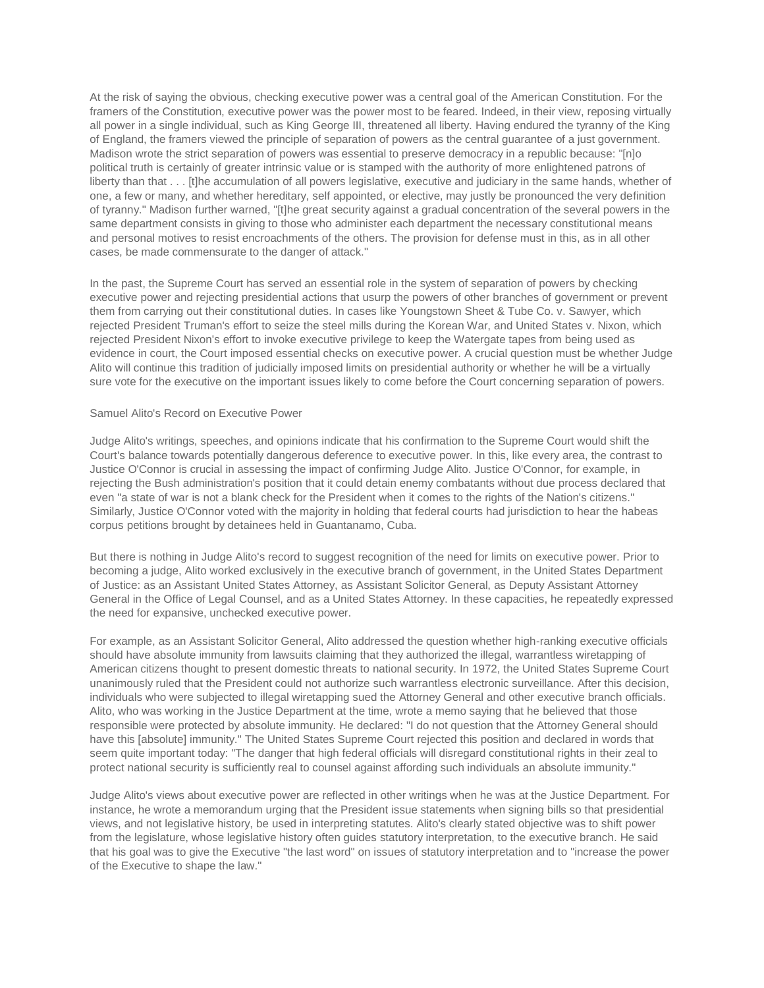At the risk of saying the obvious, checking executive power was a central goal of the American Constitution. For the framers of the Constitution, executive power was the power most to be feared. Indeed, in their view, reposing virtually all power in a single individual, such as King George III, threatened all liberty. Having endured the tyranny of the King of England, the framers viewed the principle of separation of powers as the central guarantee of a just government. Madison wrote the strict separation of powers was essential to preserve democracy in a republic because: "[n]o political truth is certainly of greater intrinsic value or is stamped with the authority of more enlightened patrons of liberty than that . . . It the accumulation of all powers legislative, executive and judiciary in the same hands, whether of one, a few or many, and whether hereditary, self appointed, or elective, may justly be pronounced the very definition of tyranny." Madison further warned, "[t]he great security against a gradual concentration of the several powers in the same department consists in giving to those who administer each department the necessary constitutional means and personal motives to resist encroachments of the others. The provision for defense must in this, as in all other cases, be made commensurate to the danger of attack."

In the past, the Supreme Court has served an essential role in the system of separation of powers by checking executive power and rejecting presidential actions that usurp the powers of other branches of government or prevent them from carrying out their constitutional duties. In cases like Youngstown Sheet & Tube Co. v. Sawyer, which rejected President Truman's effort to seize the steel mills during the Korean War, and United States v. Nixon, which rejected President Nixon's effort to invoke executive privilege to keep the Watergate tapes from being used as evidence in court, the Court imposed essential checks on executive power. A crucial question must be whether Judge Alito will continue this tradition of judicially imposed limits on presidential authority or whether he will be a virtually sure vote for the executive on the important issues likely to come before the Court concerning separation of powers.

## Samuel Alito's Record on Executive Power

Judge Alito's writings, speeches, and opinions indicate that his confirmation to the Supreme Court would shift the Court's balance towards potentially dangerous deference to executive power. In this, like every area, the contrast to Justice O'Connor is crucial in assessing the impact of confirming Judge Alito. Justice O'Connor, for example, in rejecting the Bush administration's position that it could detain enemy combatants without due process declared that even "a state of war is not a blank check for the President when it comes to the rights of the Nation's citizens." Similarly, Justice O'Connor voted with the majority in holding that federal courts had jurisdiction to hear the habeas corpus petitions brought by detainees held in Guantanamo, Cuba.

But there is nothing in Judge Alito's record to suggest recognition of the need for limits on executive power. Prior to becoming a judge, Alito worked exclusively in the executive branch of government, in the United States Department of Justice: as an Assistant United States Attorney, as Assistant Solicitor General, as Deputy Assistant Attorney General in the Office of Legal Counsel, and as a United States Attorney. In these capacities, he repeatedly expressed the need for expansive, unchecked executive power.

For example, as an Assistant Solicitor General, Alito addressed the question whether high-ranking executive officials should have absolute immunity from lawsuits claiming that they authorized the illegal, warrantless wiretapping of American citizens thought to present domestic threats to national security. In 1972, the United States Supreme Court unanimously ruled that the President could not authorize such warrantless electronic surveillance. After this decision, individuals who were subjected to illegal wiretapping sued the Attorney General and other executive branch officials. Alito, who was working in the Justice Department at the time, wrote a memo saying that he believed that those responsible were protected by absolute immunity. He declared: "I do not question that the Attorney General should have this [absolute] immunity." The United States Supreme Court rejected this position and declared in words that seem quite important today: "The danger that high federal officials will disregard constitutional rights in their zeal to protect national security is sufficiently real to counsel against affording such individuals an absolute immunity."

Judge Alito's views about executive power are reflected in other writings when he was at the Justice Department. For instance, he wrote a memorandum urging that the President issue statements when signing bills so that presidential views, and not legislative history, be used in interpreting statutes. Alito's clearly stated objective was to shift power from the legislature, whose legislative history often guides statutory interpretation, to the executive branch. He said that his goal was to give the Executive "the last word" on issues of statutory interpretation and to "increase the power of the Executive to shape the law."